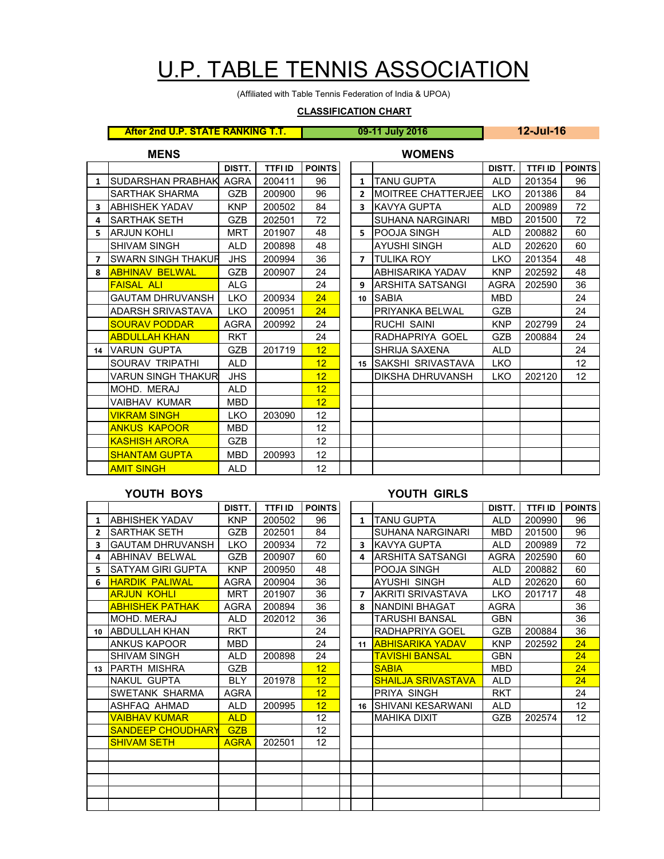# U.P. TABLE TENNIS ASSOCIATION

(Affiliated with Table Tennis Federation of India & UPOA)

### **CLASSIFICATION CHART**

**After 2nd U.P. STATE RANKING T.T. 09-11 July 2016 12-Jul-16**

| <b>MENS</b>              |                         |             |                |                   |  |                         | <b>WOMENS</b>             |            |                |               |
|--------------------------|-------------------------|-------------|----------------|-------------------|--|-------------------------|---------------------------|------------|----------------|---------------|
|                          |                         | DISTT.      | <b>TTFI ID</b> | <b>POINTS</b>     |  |                         |                           | DISTT.     | <b>TTFI ID</b> | <b>POINTS</b> |
| $\mathbf{1}$             | SUDARSHAN PRABHAK       | <b>AGRA</b> | 200411         | 96                |  | $\mathbf{1}$            | <b>TANU GUPTA</b>         | <b>ALD</b> | 201354         | 96            |
|                          | SARTHAK SHARMA          | <b>GZB</b>  | 200900         | 96                |  | $\overline{2}$          | <b>MOITREE CHATTERJEE</b> | <b>LKO</b> | 201386         | 84            |
| 3                        | <b>ABHISHEK YADAV</b>   | <b>KNP</b>  | 200502         | 84                |  | 3                       | KAVYA GUPTA               | <b>ALD</b> | 200989         | 72            |
| 4                        | <b>SARTHAK SETH</b>     | <b>GZB</b>  | 202501         | 72                |  |                         | SUHANA NARGINARI          | <b>MBD</b> | 201500         | 72            |
| 5.                       | <b>ARJUN KOHLI</b>      | <b>MRT</b>  | 201907         | 48                |  | 5                       | <b>POOJA SINGH</b>        | <b>ALD</b> | 200882         | 60            |
|                          | SHIVAM SINGH            | <b>ALD</b>  | 200898         | 48                |  |                         | AYUSHI SINGH              | <b>ALD</b> | 202620         | 60            |
| $\overline{\phantom{a}}$ | SWARN SINGH THAKUR      | <b>JHS</b>  | 200994         | 36                |  | $\overline{\mathbf{z}}$ | <b>TULIKA ROY</b>         | <b>LKO</b> | 201354         | 48            |
| 8                        | <b>ABHINAV BELWAL</b>   | <b>GZB</b>  | 200907         | 24                |  |                         | ABHISARIKA YADAV          | <b>KNP</b> | 202592         | 48            |
|                          | <b>FAISAL ALI</b>       | ALG         |                | 24                |  | 9                       | ARSHITA SATSANGI          | AGRA       | 202590         | 36            |
|                          | <b>GAUTAM DHRUVANSH</b> | <b>LKO</b>  | 200934         | 24                |  | 10                      | <b>SABIA</b>              | <b>MBD</b> |                | 24            |
|                          | ADARSH SRIVASTAVA       | <b>LKO</b>  | 200951         | 24                |  |                         | PRIYANKA BELWAL           | <b>GZB</b> |                | 24            |
|                          | <b>SOURAV PODDAR</b>    | <b>AGRA</b> | 200992         | 24                |  |                         | RUCHI SAINI               | <b>KNP</b> | 202799         | 24            |
|                          | <b>ABDULLAH KHAN</b>    | <b>RKT</b>  |                | 24                |  |                         | RADHAPRIYA GOEL           | <b>GZB</b> | 200884         | 24            |
| 14                       | <b>IVARUN GUPTA</b>     | <b>GZB</b>  | 201719         | 12 <sub>2</sub>   |  |                         | SHRIJA SAXENA             | <b>ALD</b> |                | 24            |
|                          | SOURAV TRIPATHI         | <b>ALD</b>  |                | 12                |  | 15                      | <b>SAKSHI SRIVASTAVA</b>  | <b>LKO</b> |                | 12            |
|                          | VARUN SINGH THAKUR      | <b>JHS</b>  |                | 12 <sup>2</sup>   |  |                         | DIKSHA DHRUVANSH          | <b>LKO</b> | 202120         | 12            |
|                          | MOHD. MERAJ             | <b>ALD</b>  |                | 12 <sup>2</sup>   |  |                         |                           |            |                |               |
|                          | VAIBHAV KUMAR           | <b>MBD</b>  |                | 12                |  |                         |                           |            |                |               |
|                          | <b>VIKRAM SINGH</b>     | <b>LKO</b>  | 203090         | 12                |  |                         |                           |            |                |               |
|                          | <b>ANKUS KAPOOR</b>     | <b>MBD</b>  |                | $12 \overline{ }$ |  |                         |                           |            |                |               |
|                          | <b>KASHISH ARORA</b>    | <b>GZB</b>  |                | 12                |  |                         |                           |            |                |               |
|                          | <b>SHANTAM GUPTA</b>    | <b>MBD</b>  | 200993         | 12                |  |                         |                           |            |                |               |
|                          | <b>AMIT SINGH</b>       | <b>ALD</b>  |                | 12                |  |                         |                           |            |                |               |

### **YOUTH BOYS YOUTH GIRLS**

|                |                          | DISTT.      | <b>TTFI ID</b> | <b>POINTS</b>   |              |                             | DISTT.      | <b>TTFI ID</b> | <b>POINTS</b> |
|----------------|--------------------------|-------------|----------------|-----------------|--------------|-----------------------------|-------------|----------------|---------------|
| 1              | <b>ABHISHEK YADAV</b>    | <b>KNP</b>  | 200502         | 96              | $\mathbf{1}$ | <b>TANU GUPTA</b>           | <b>ALD</b>  | 200990         | 96            |
| $\overline{2}$ | <b>SARTHAK SETH</b>      | <b>GZB</b>  | 202501         | 84              |              | <b>SUHANA NARGINARI</b>     | <b>MBD</b>  | 201500         | 96            |
| 3              | <b>GAUTAM DHRUVANSH</b>  | <b>LKO</b>  | 200934         | 72              | 3            | <b>KAVYA GUPTA</b>          | <b>ALD</b>  | 200989         | 72            |
| 4              | <b>ABHINAV BELWAL</b>    | <b>GZB</b>  | 200907         | 60              | 4            | <b>ARSHITA SATSANGI</b>     | <b>AGRA</b> | 202590         | 60            |
| 5              | SATYAM GIRI GUPTA        | <b>KNP</b>  | 200950         | 48              |              | POOJA SINGH                 | <b>ALD</b>  | 200882         | 60            |
| 6              | <b>HARDIK PALIWAL</b>    | <b>AGRA</b> | 200904         | 36              |              | <b>AYUSHI SINGH</b>         | <b>ALD</b>  | 202620         | 60            |
|                | <b>ARJUN KOHLI</b>       | <b>MRT</b>  | 201907         | 36              | $\mathbf{7}$ | AKRITI SRIVASTAVA           | <b>LKO</b>  | 201717         | 48            |
|                | <b>ABHISHEK PATHAK</b>   | <b>AGRA</b> | 200894         | 36              | 8            | NANDINI BHAGAT              | <b>AGRA</b> |                | 36            |
|                | MOHD. MERAJ              | ALD         | 202012         | 36              |              | <b>TARUSHI BANSAL</b>       | <b>GBN</b>  |                | 36            |
| 10             | <b>JABDULLAH KHAN</b>    | <b>RKT</b>  |                | 24              |              | RADHAPRIYA GOEL             | <b>GZB</b>  | 200884         | 36            |
|                | ANKUS KAPOOR             | MBD         |                | 24              | 11           | <b>ABHISARIKA YADAV</b>     | <b>KNP</b>  | 202592         | 24            |
|                | <b>SHIVAM SINGH</b>      | ALD         | 200898         | 24              |              | <b>TAVISHI BANSAL</b>       | <b>GBN</b>  |                | 24            |
|                | 13 PARTH MISHRA          | <b>GZB</b>  |                | 12              |              | <b>SABIA</b>                | <b>MBD</b>  |                | 24            |
|                | <b>NAKUL GUPTA</b>       | <b>BLY</b>  | 201978         | 12 <sub>2</sub> |              | <b>SHAILJA SRIVASTAVA</b>   | <b>ALD</b>  |                | 24            |
|                | SWETANK SHARMA           | <b>AGRA</b> |                | 12              |              | PRIYA SINGH                 | <b>RKT</b>  |                | 24            |
|                | ASHFAQ AHMAD             | ALD         | 200995         | 12 <sub>2</sub> |              | <b>16 SHIVANI KESARWANI</b> | <b>ALD</b>  |                | 12            |
|                | <b>VAIBHAV KUMAR</b>     | <b>ALD</b>  |                | 12              |              | <b>MAHIKA DIXIT</b>         | <b>GZB</b>  | 202574         | 12            |
|                | <b>SANDEEP CHOUDHARY</b> | <b>GZB</b>  |                | 12 <sup>2</sup> |              |                             |             |                |               |
|                | <b>SHIVAM SETH</b>       | <b>AGRA</b> | 202501         | 12 <sup>2</sup> |              |                             |             |                |               |
|                |                          |             |                |                 |              |                             |             |                |               |
|                |                          |             |                |                 |              |                             |             |                |               |
|                |                          |             |                |                 |              |                             |             |                |               |
|                |                          |             |                |                 |              |                             |             |                |               |
|                |                          |             |                |                 |              |                             |             |                |               |